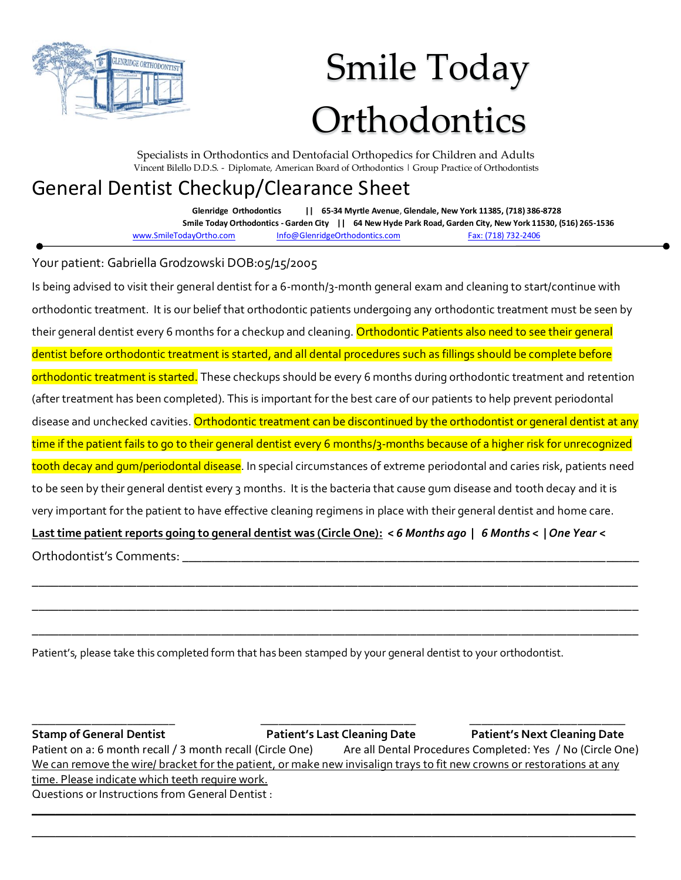

## Smile Today **Orthodontics**

Specialists in Orthodontics and Dentofacial Orthopedics for Children and Adults Vincent Bilello D.D.S. - Diplomate, American Board of Orthodontics | Group Practice of Orthodontists

## General Dentist Checkup/Clearance Sheet

**Glenridge Orthodontics || 65-34 Myrtle Avenue**, **Glendale, New York 11385, (718) 386-8728 Smile Today Orthodontics - Garden City || 64 New Hyde Park Road, Garden City, New York 11530, (516) 265-1536** [www.SmileTodayOrtho.com](http://www.smiletodayortho.com/) [Info@GlenridgeOrthodontics.com](mailto:Info@GlenridgeOrthodontics.com) Fax: (718) 732-2406

Your patient: Gabriella Grodzowski DOB:05/15/2005

Is being advised to visit their general dentist for a 6-month/3-month general exam and cleaning to start/continue with orthodontic treatment. It is our belief that orthodontic patients undergoing any orthodontic treatment must be seen by their general dentist every 6 months for a checkup and cleaning. Orthodontic Patients also need to see their general dentist before orthodontic treatment is started, and all dental procedures such as fillings should be complete before orthodontic treatment is started. These checkups should be every 6 months during orthodontic treatment and retention (after treatment has been completed). This is important for the best care of our patients to help prevent periodontal disease and unchecked cavities. Orthodontic treatment can be discontinued by the orthodontist or general dentist at any time if the patient fails to go to their general dentist every 6 months/3-months because of a higher risk for unrecognized tooth decay and gum/periodontal disease. In special circumstances of extreme periodontal and caries risk, patients need to be seen by their general dentist every 3 months. It is the bacteria that cause gum disease and tooth decay and it is very important for the patient to have effective cleaning regimens in place with their general dentist and home care. **Last time patient reports going to general dentist was (Circle One):** *< 6 Months ago* **|** *6 Months <* **|** *One Year* **<** Orthodontist's Comments:

\_\_\_\_\_\_\_\_\_\_\_\_\_\_\_\_\_\_\_\_\_\_\_\_\_\_\_\_\_\_\_\_\_\_\_\_\_\_\_\_\_\_\_\_\_\_\_\_\_\_\_\_\_\_\_\_\_\_\_\_\_\_\_\_\_\_\_\_\_\_\_\_\_\_\_\_\_\_\_\_\_\_\_\_\_\_\_\_\_\_\_\_\_

\_\_\_\_\_\_\_\_\_\_\_\_\_\_\_\_\_\_\_\_\_\_\_\_\_\_\_\_\_\_\_\_\_\_\_\_\_\_\_\_\_\_\_\_\_\_\_\_\_\_\_\_\_\_\_\_\_\_\_\_\_\_\_\_\_\_\_\_\_\_\_\_\_\_\_\_\_\_\_\_\_\_\_\_\_\_\_\_\_\_\_\_\_

\_\_\_\_\_\_\_\_\_\_\_\_\_\_\_\_\_\_\_\_\_\_\_\_\_\_\_\_\_\_\_\_\_\_\_\_\_\_\_\_\_\_\_\_\_\_\_\_\_\_\_\_\_\_\_\_\_\_\_\_\_\_\_\_\_\_\_\_\_\_\_\_\_\_\_\_\_\_\_\_\_\_\_\_\_\_\_\_\_\_\_\_\_

Patient's, please take this completed form that has been stamped by your general dentist to your orthodontist.

\_\_\_\_\_\_\_\_\_\_\_\_\_\_\_\_\_\_\_\_\_\_\_\_ \_\_\_\_\_\_\_\_\_\_\_\_\_\_\_\_\_\_\_\_\_\_\_\_\_\_ \_\_\_\_\_\_\_\_\_\_\_\_\_\_\_\_\_\_\_\_\_\_\_\_\_\_ **Stamp of General Dentist Patient's Last Cleaning Date Patient's Next Cleaning Date** Patient on a: 6 month recall / 3 month recall (Circle One) Are all Dental Procedures Completed: Yes / No (Circle One) We can remove the wire/ bracket for the patient, or make new invisalign trays to fit new crowns or restorations at any time. Please indicate which teeth require work. Questions or Instructions from General Dentist :

\_\_\_\_\_\_\_\_\_\_\_\_\_\_\_\_\_\_\_\_\_\_\_\_\_\_\_\_\_\_\_\_\_\_\_\_\_\_\_\_\_\_\_\_\_\_\_\_\_\_\_\_\_\_\_\_\_\_\_\_\_\_\_\_\_\_\_\_\_\_\_\_\_\_\_\_\_\_\_\_\_\_\_\_\_\_\_\_\_\_\_\_\_\_\_\_\_\_\_\_\_ \_\_\_\_\_\_\_\_\_\_\_\_\_\_\_\_\_\_\_\_\_\_\_\_\_\_\_\_\_\_\_\_\_\_\_\_\_\_\_\_\_\_\_\_\_\_\_\_\_\_\_\_\_\_\_\_\_\_\_\_\_\_\_\_\_\_\_\_\_\_\_\_\_\_\_\_\_\_\_\_\_\_\_\_\_\_\_\_\_\_\_\_\_\_\_\_\_\_\_\_\_